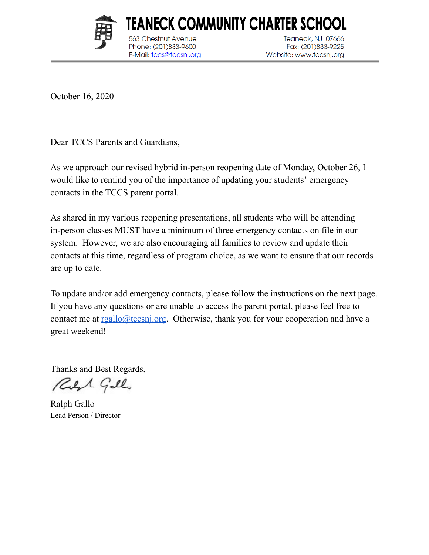

**Chestnut Avenue** 

Phone: (201)833-9600

E-Mail: tccs@tccsnj.org

Teaneck, NJ 07666 Fax: (201)833-9225 Website: www.tccsnj.org

October 16, 2020

Dear TCCS Parents and Guardians,

As we approach our revised hybrid in-person reopening date of Monday, October 26, I would like to remind you of the importance of updating your students' emergency contacts in the TCCS parent portal.

TEANECK COMMUNITY CHARTER SCHOOL

As shared in my various reopening presentations, all students who will be attending in-person classes MUST have a minimum of three emergency contacts on file in our system. However, we are also encouraging all families to review and update their contacts at this time, regardless of program choice, as we want to ensure that our records are up to date.

To update and/or add emergency contacts, please follow the instructions on the next page. If you have any questions or are unable to access the parent portal, please feel free to contact me at  $rgallo@tccsni.org$ . Otherwise, thank you for your cooperation and have a</u> great weekend!

Thanks and Best Regards,

Red Gillo

Ralph Gallo Lead Person / Director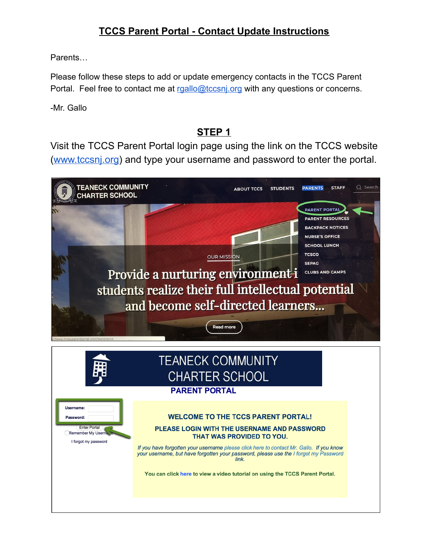## **TCCS Parent Portal - Contact Update Instructions**

Parents…

Please follow these steps to add or update emergency contacts in the TCCS Parent Portal. Feel free to contact me at [rgallo@tccsnj.org](mailto:rgallo@tccsnj.org) with any questions or concerns.

-Mr. Gallo

#### **STEP 1**

Visit the TCCS Parent Portal login page using the link on the TCCS website [\(www.tccsnj.org\)](http://www.tccsnj.org/) and type your username and password to enter the portal.

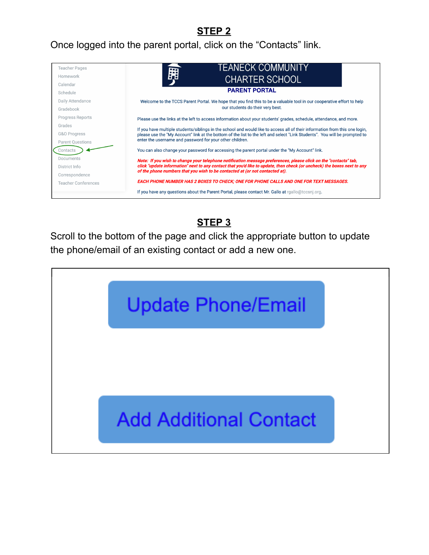## **STEP 2**

#### Once logged into the parent portal, click on the "Contacts" link.



# **STEP 3**

Scroll to the bottom of the page and click the appropriate button to update the phone/email of an existing contact or add a new one.

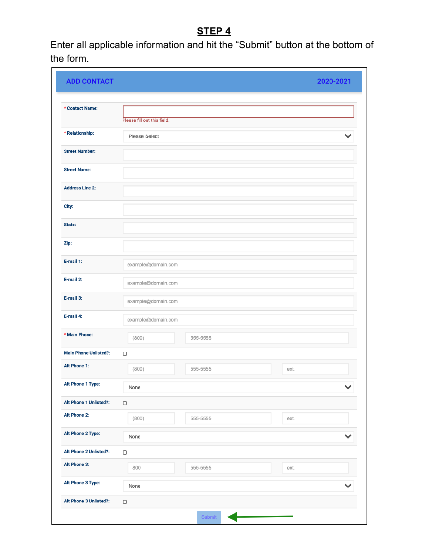# **STEP 4**

Enter all applicable information and hit the "Submit" button at the bottom of the form.

| <b>ADD CONTACT</b>           |                             |          |      | 2020-2021    |
|------------------------------|-----------------------------|----------|------|--------------|
| * Contact Name:              |                             |          |      |              |
|                              | Please fill out this field. |          |      |              |
| * Relationship:              | Please Select               |          |      | $\checkmark$ |
| <b>Street Number:</b>        |                             |          |      |              |
| <b>Street Name:</b>          |                             |          |      |              |
| <b>Address Line 2:</b>       |                             |          |      |              |
| City:                        |                             |          |      |              |
| State:                       |                             |          |      |              |
| Zip:                         |                             |          |      |              |
| E-mail 1:                    | example@domain.com          |          |      |              |
| E-mail 2:                    | example@domain.com          |          |      |              |
| E-mail 3:                    | example@domain.com          |          |      |              |
| E-mail 4:                    | example@domain.com          |          |      |              |
| * Main Phone:                | (800)                       | 555-5555 |      |              |
| <b>Main Phone Unlisted?:</b> | $\Box$                      |          |      |              |
| Alt Phone 1:                 | (800)                       | 555-5555 | ext. |              |
| Alt Phone 1 Type:            | None                        |          |      | $\checkmark$ |
| Alt Phone 1 Unlisted?:       | $\hfill \square$            |          |      |              |
| Alt Phone 2:                 | (800)                       | 555-5555 | ext. |              |
| Alt Phone 2 Type:            | None                        |          |      | $\checkmark$ |
| Alt Phone 2 Unlisted?:       | $\Box$                      |          |      |              |
| Alt Phone 3:                 | 800                         | 555-5555 | ext. |              |
| Alt Phone 3 Type:            | None                        |          |      | $\checkmark$ |
| Alt Phone 3 Unlisted?:       | $\Box$                      |          |      |              |
|                              |                             | Submit   |      |              |